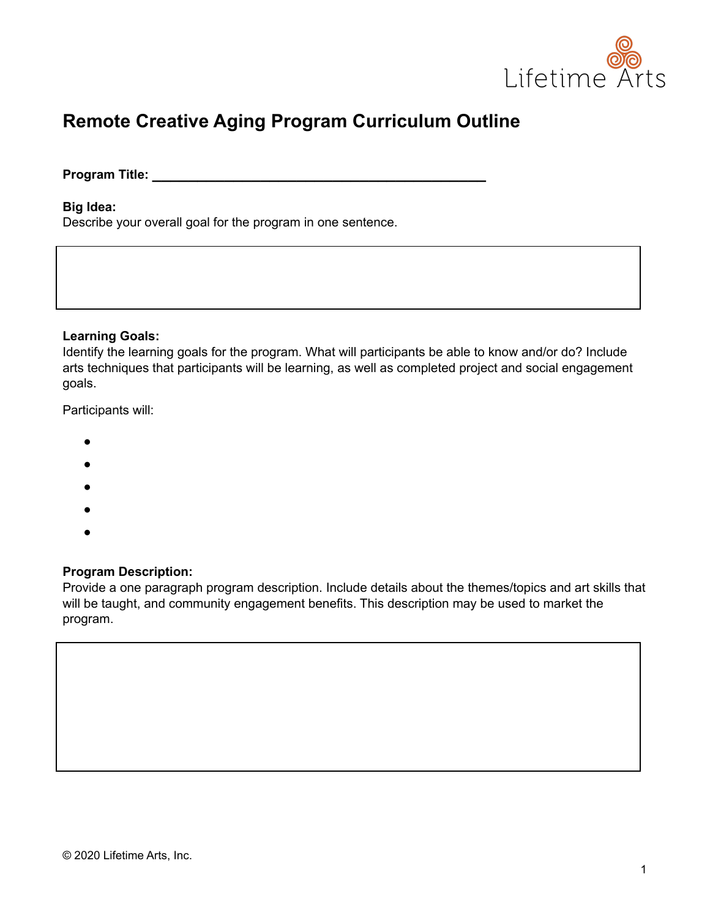

# **Remote Creative Aging Program Curriculum Outline**

**Program Title: \_\_\_\_\_\_\_\_\_\_\_\_\_\_\_\_\_\_\_\_\_\_\_\_\_\_\_\_\_\_\_\_\_\_\_\_\_**

#### **Big Idea:**

Describe your overall goal for the program in one sentence.

#### **Learning Goals:**

Identify the learning goals for the program. What will participants be able to know and/or do? Include arts techniques that participants will be learning, as well as completed project and social engagement goals.

Participants will:

- $\bullet$
- ●
- ●
- ●
- ●

### **Program Description:**

Provide a one paragraph program description. Include details about the themes/topics and art skills that will be taught, and community engagement benefits. This description may be used to market the program.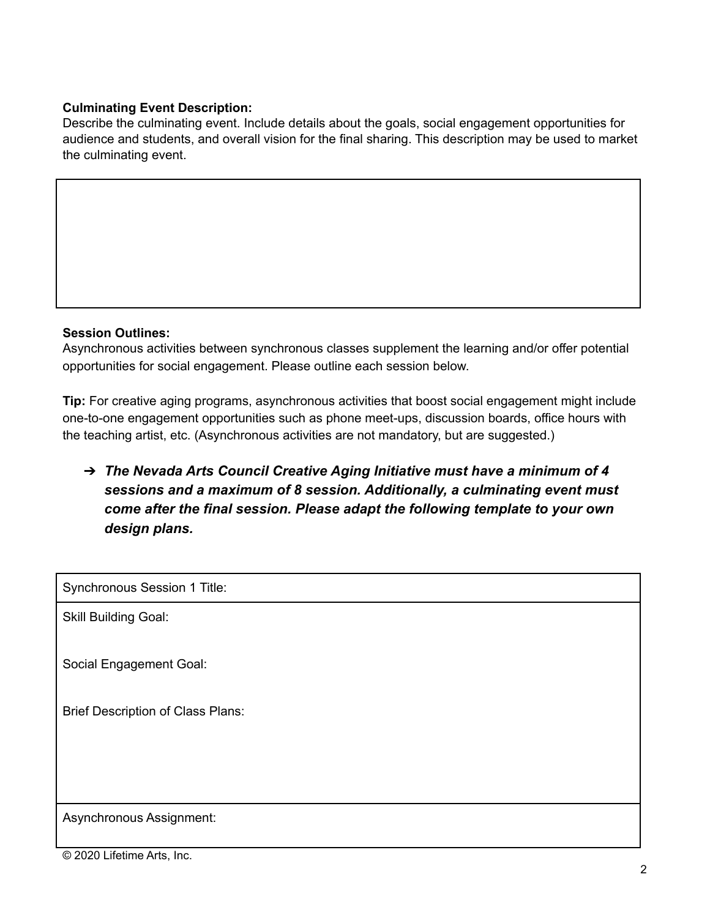## **Culminating Event Description:**

Describe the culminating event. Include details about the goals, social engagement opportunities for audience and students, and overall vision for the final sharing. This description may be used to market the culminating event.

### **Session Outlines:**

Asynchronous activities between synchronous classes supplement the learning and/or offer potential opportunities for social engagement. Please outline each session below.

**Tip:** For creative aging programs, asynchronous activities that boost social engagement might include one-to-one engagement opportunities such as phone meet-ups, discussion boards, office hours with the teaching artist, etc. (Asynchronous activities are not mandatory, but are suggested.)

➔ *The Nevada Arts Council Creative Aging Initiative must have a minimum of 4 sessions and a maximum of 8 session. Additionally, a culminating event must come after the final session. Please adapt the following template to your own design plans.*

Synchronous Session 1 Title:

Skill Building Goal:

Social Engagement Goal:

Brief Description of Class Plans:

Asynchronous Assignment: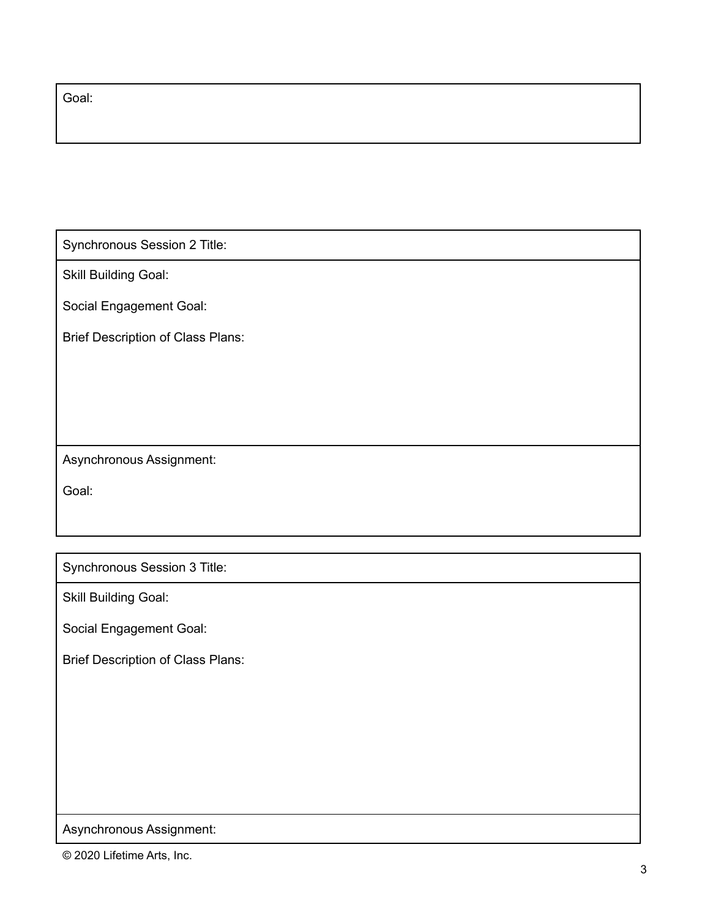Goal:

Synchronous Session 2 Title:

Skill Building Goal:

Social Engagement Goal:

Brief Description of Class Plans:

Asynchronous Assignment:

Goal:

Synchronous Session 3 Title:

Skill Building Goal:

Social Engagement Goal:

Brief Description of Class Plans:

Asynchronous Assignment:

© 2020 Lifetime Arts, Inc.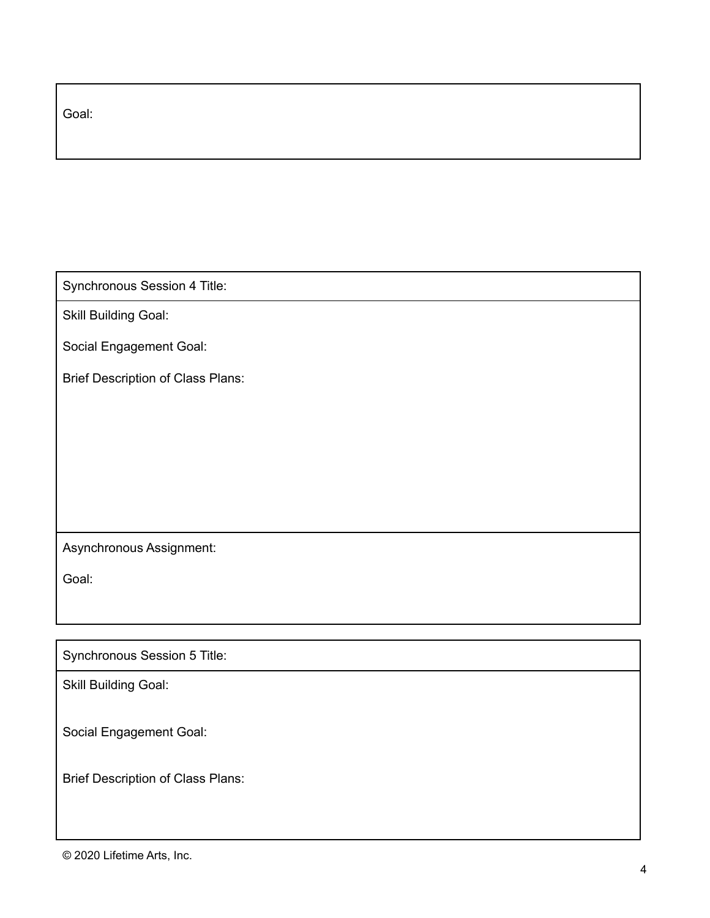| Goal: |  |  |  |
|-------|--|--|--|
|       |  |  |  |

Synchronous Session 4 Title:

Skill Building Goal:

Social Engagement Goal:

Brief Description of Class Plans:

## Asynchronous Assignment:

Goal:

Synchronous Session 5 Title:

Skill Building Goal:

Social Engagement Goal:

Brief Description of Class Plans: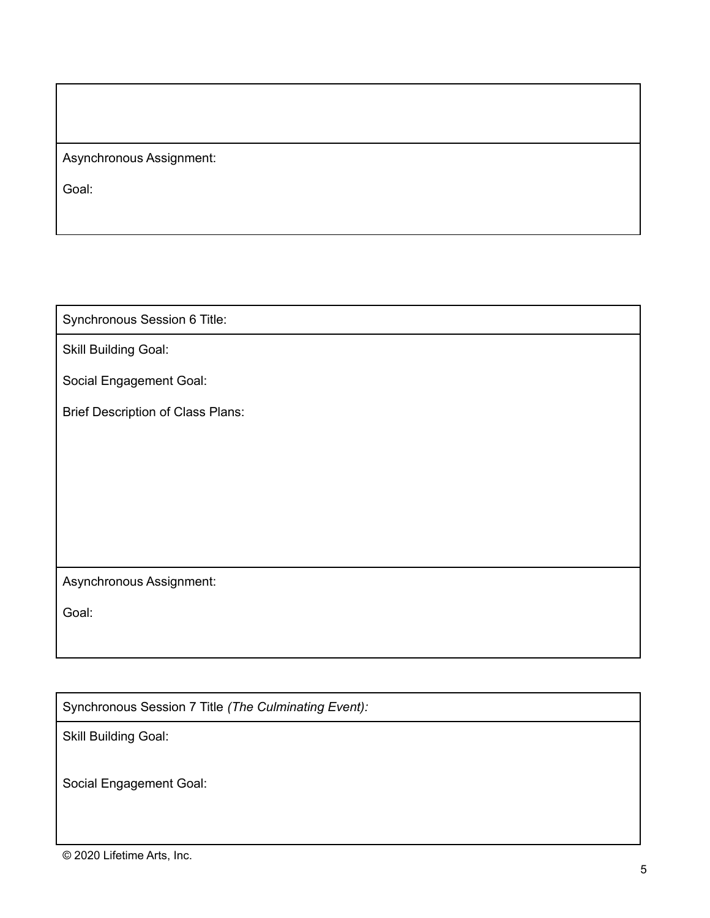Asynchronous Assignment:

Goal:

Synchronous Session 6 Title:

Skill Building Goal:

Social Engagement Goal:

Brief Description of Class Plans:

Asynchronous Assignment:

Goal:

Synchronous Session 7 Title *(The Culminating Event):*

Skill Building Goal:

Social Engagement Goal: